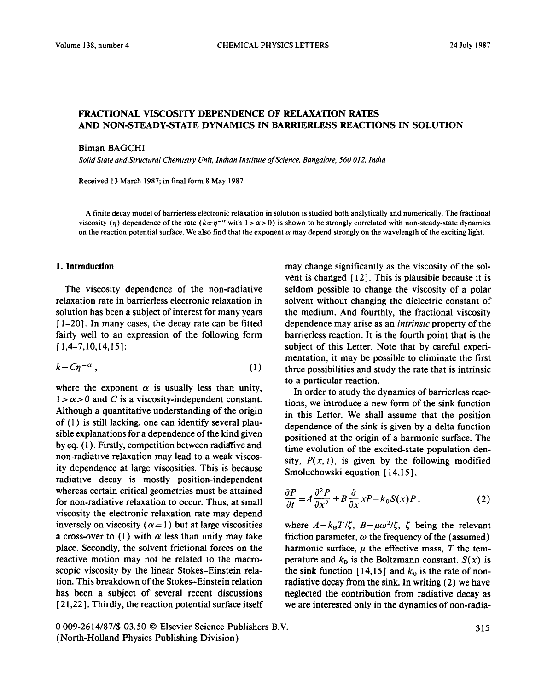## FRACTIONAL VISCOSITY DEPENDENCE OF RELAXATION RATES AND NON-STEADY-STATE DYNAMICS IN BARRIERLESS REACTIONS IN SOLUTION

Biman BAGCHI

Solid State and Structural Chemistry Unit, Indian Institute of Science, Bangalore, 560 012, India

Received 13 March 1987; in final form 8 May 1987

A finite decay model of barrierless electronic relaxation in solutton is studied both analytically and numerically. The fractional viscosity ( $\eta$ ) dependence of the rate ( $k \propto \eta^{-\alpha}$  with  $1 > \alpha > 0$ ) is shown to be strongly correlated with non-steady-state dynamics on the reaction potential surface. We also find that the exponent  $\alpha$  may depend strongly on the wavelength of the exciting light.

## **1. Introduction**

The viscosity dependence of the non-radiative relaxation rate in barrierless electronic relaxation in solution has been a subject of interest for many years [ l-201. In many cases, the decay rate can be fitted fairly well to an expression of the following form  $[1,4-7,10,14,15]$ :

$$
k = C\eta^{-\alpha} \tag{1}
$$

where the exponent  $\alpha$  is usually less than unity,  $1 > \alpha > 0$  and C is a viscosity-independent constant. Although a quantitative understanding of the origin of (1) is still lacking, one can identify several plausible explanations for a dependence of the kind given by eq. (1). Firstly, competition between radiative and non-radiative relaxation may lead to a weak viscosity dependence at large viscosities. This is because radiative decay is mostly position-independent whereas certain critical geometries must be attained for non-radiative relaxation to occur. Thus, at small viscosity the electronic relaxation rate may depend inversely on viscosity ( $\alpha = 1$ ) but at large viscosities a cross-over to (1) with  $\alpha$  less than unity may take place. Secondly, the solvent frictional forces on the reactive motion may not be related to the macroscopic viscosity by the linear Stokes-Einstein relation. This breakdown of the Stokes-Einstein relation has been a subject of several recent discussions [21,22]. Thirdly, the reaction potential surface itself may change significantly as the viscosity of the solvent is changed  $[12]$ . This is plausible because it is seldom possible to change the viscosity of a polar solvent without changing the dielectric constant of the medium. And fourthly, the fractional viscosity dependence may arise as an *intrinsic* property of the barrierless reaction. It is the fourth point that is the subject of this Letter. Note that by careful experimentation, it may be possible to eliminate the first three possibilities and study the rate that is intrinsic to a particular reaction.

In order to study the dynamics of barrierless reactions, we introduce a new form of the sink function in this Letter. We shall assume that the position dependence of the sink is given by a delta function positioned at the origin of a harmonic surface. The time evolution of the excited-state population density,  $P(x, t)$ , is given by the following modified Smoluchowski equation [14,15],

$$
\frac{\partial P}{\partial t} = A \frac{\partial^2 P}{\partial x^2} + B \frac{\partial}{\partial x} x P - k_0 S(x) P, \qquad (2)
$$

where  $A = k_B T/\zeta$ ,  $B = \mu \omega^2/\zeta$ ,  $\zeta$  being the relevant friction parameter,  $\omega$  the frequency of the (assumed) harmonic surface,  $\mu$  the effective mass,  $T$  the temperature and  $k_B$  is the Boltzmann constant.  $S(x)$  is the sink function  $[14,15]$  and  $k_0$  is the rate of nonradiative decay from the sink. In writing (2) we have neglected the contribution from radiative decay as we are interested only in the dynamics of non-radia-

*0 009-2614/87/\$ 03.50 0* Elsevier Science Publishers B.V. (North-Holland Physics Publishing Division)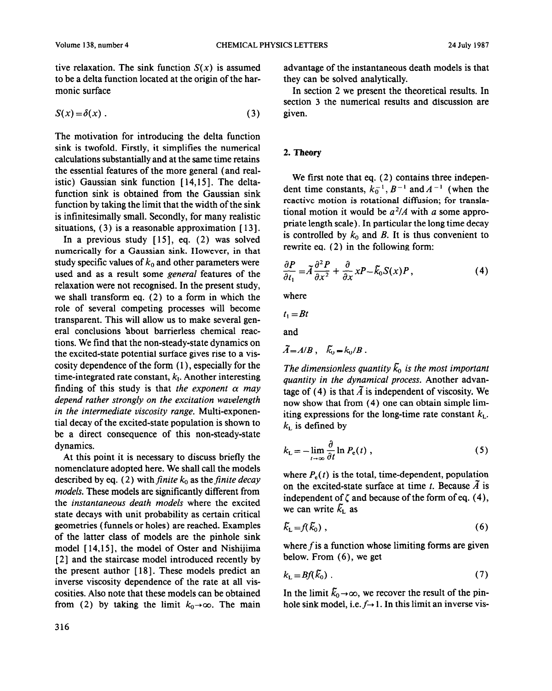tive relaxation. The sink function  $S(x)$  is assumed to be a delta function located at the origin of the harmonic surface

$$
S(x) = \delta(x) . \tag{3}
$$

The motivation for introducing the delta function sink is twofold. Firstly, it simplifies the numerical calculations substantially and at the same time retains the essential features of the more general (and realistic) Gaussian sink function [14,15]. The deltafunction sink is obtained from the Gaussian sink function by taking the limit that the width of the sink is infinitesimally small. Secondly, for many realistic situations,  $(3)$  is a reasonable approximation  $[13]$ .

In a previous study  $[15]$ , eq.  $(2)$  was solved numerically for a Gaussian sink. However, in that study specific values of  $k_0$  and other parameters were used and as a result some general features of the relaxation were not recognised. In the present study, we shall transform eq. (2) to a form in which the role of several competing processes will become transparent. This will allow us to make several general conclusions 'about barrierless chemical reactions. We find that the non-steady-state dynamics on the excited-state potential surface gives rise to a viscosity dependence of the form  $(1)$ , especially for the time-integrated rate constant, *k,.* Another interesting finding of this study is that *the exponent*  $\alpha$  may *depend rather strongly on the excitation wavelength in the intermediate viscosity range.* Multi-exponential decay of the excited-state population is shown to be a direct consequence of this non-steady-state dynamics.

At this point it is necessary to discuss briefly the nomenclature adopted here. We shall call the models described by eq. (2) with *finite*  $k_0$  as the *finite decay models.* These models are significantly different from the *instantaneous death models* where the excited state decays with unit probability as certain critical geometries (funnels or holes) are reached. Examples of the latter class of models are the pinhole sink model [14,15], the model of Oster and Nishijima [ 21 and the staircase model introduced recently by the present author [ 181. These models predict an inverse viscosity dependence of the rate at all viscosities. Also note that these models can be obtained from (2) by taking the limit  $k_0 \rightarrow \infty$ . The main

advantage of the instantaneous death models is that they can be solved analytically.

In section 2 we present the theoretical results. In section 3 the numerical results and discussion are given.

## 2. Theory

We first note that eq. (2) contains three independent time constants,  $k_0^{-1}$ ,  $B^{-1}$  and  $A^{-1}$  (when the reactive motion is rotational diffusion; for translational motion it would be  $a^2/A$  with a some appropriate length scale). In particular the long time decay is controlled by  $k_0$  and  $B$ . It is thus convenient to rewrite eq. (2) in the following form:

$$
\frac{\partial P}{\partial t_1} = \tilde{A} \frac{\partial^2 P}{\partial x^2} + \frac{\partial}{\partial x} x P - \tilde{k}_0 S(x) P, \qquad (4)
$$

where

$$
t_1=Bt
$$

and

$$
\vec{A} = A/B \ , \quad \vec{k}_0 = k_0/B
$$

The dimensionless quantity  $\bar{k}_0$  is the most important *quantity in the dynamical process.* Another advantage of (4) is that  $\tilde{A}$  is independent of viscosity. We now show that from (4) one can obtain simple limiting expressions for the long-time rate constant  $k<sub>L</sub>$ .  $k_{\text{L}}$  is defined by

$$
k_{\rm L} = -\lim_{t \to \infty} \frac{\partial}{\partial t} \ln P_{\rm e}(t) , \qquad (5)
$$

where  $P_{\rm r}(t)$  is the total, time-dependent, population on the excited-state surface at time t. Because  $\tilde{A}$  is independent of  $\zeta$  and because of the form of eq. (4), we can write  $\tilde{k}_{\rm L}$  as

$$
\tilde{k}_L = f(\tilde{k}_0) \tag{6}
$$

where  $f$  is a function whose limiting forms are given below. From  $(6)$ , we get

$$
k_{\text{L}} = Bf(\bar{k}_0) \tag{7}
$$

In the limit  $\tilde{k}_0 \rightarrow \infty$ , we recover the result of the pinhole sink model, i.e.  $f \rightarrow 1$ . In this limit an inverse vis-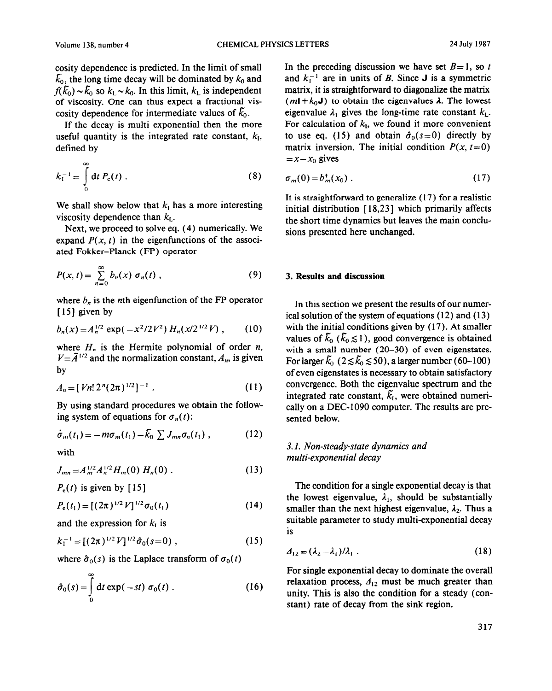cosity dependence is predicted. In the limit of small  $\bar{k}_0$ , the long time decay will be dominated by  $k_0$  and  $f(\bar{k}_0) \sim \bar{k}_0$  so  $k_L \sim k_0$ . In this limit,  $k_L$  is independent of viscosity. One can thus expect a fractional viscosity dependence for intermediate values of  $k_0$ .

If the decay is multi exponential then the more useful quantity is the integrated rate constant,  $k_I$ , defined by

$$
k_{\mathrm{I}}^{-1} = \int\limits_{0}^{\infty} \mathrm{d}t \, P_{\mathrm{e}}(t) \; . \tag{8}
$$

We shall show below that  $k<sub>I</sub>$  has a more interesting viscosity dependence than  $k<sub>L</sub>$ .

Next, we proceed to solve eq. (4) numerically. We expand  $P(x, t)$  in the eigenfunctions of the associated Fokker-Planck (FP) operator

$$
P(x,t) = \sum_{n=0}^{\infty} b_n(x) \sigma_n(t) , \qquad (9)
$$

where  $b_n$  is the *n*th eigenfunction of the FP operator  $[15]$  given by

$$
b_n(x) = A_n^{1/2} \exp(-x^2/2V^2) H_n(x/2^{1/2}V) , \qquad (10)
$$

where  $H_n$  is the Hermite polynomial of order n,  $V = \tilde{A}^{1/2}$  and the normalization constant,  $A_n$ , is given by

$$
A_n = [Vn! 2^n (2\pi)^{1/2}]^{-1} . \qquad (11)
$$

By using standard procedures we obtain the following system of equations for  $\sigma_n(t)$ :

$$
\dot{\sigma}_m(t_1) = -m\sigma_m(t_1) - \tilde{k}_0 \sum J_{mn}\sigma_n(t_1) , \qquad (12)
$$

with

$$
J_{mn} = A_m^{1/2} A_n^{1/2} H_m(0) H_n(0) . \qquad (13)
$$

 $P_e(t)$  is given by [15]

$$
P_e(t_1) = [(2\pi)^{1/2} V]^{1/2} \sigma_0(t_1)
$$
 (14)

and the expression for *k,* is

$$
k_1^{-1} = [(2\pi)^{1/2} V]^{1/2} \hat{\sigma}_0(s=0) , \qquad (15)
$$

where  $\hat{\sigma}_0(s)$  is the Laplace transform of  $\sigma_0(t)$ 

$$
\hat{\sigma}_0(s) = \int_0^\infty dt \exp(-st) \sigma_0(t) . \qquad (16)
$$

In the preceding discussion we have set  $B=1$ , so t and  $k_1^{-1}$  are in units of *B*. Since **J** is a symmetric matrix, it is straightforward to diagonalize the matrix  $(mI + k_0J)$  to obtain the eigenvalues  $\lambda$ . The lowest eigenvalue  $\lambda_1$  gives the long-time rate constant  $k_L$ . For calculation of  $k<sub>1</sub>$ , we found it more convenient to use eq. (15) and obtain  $\hat{\sigma}_0(s=0)$  directly by matrix inversion. The initial condition  $P(x, t=0)$  $=x-x_0$  gives

$$
\sigma_m(0) = b_m^+(x_0) \tag{17}
$$

It is straightforward to generalize (17) for a realistic initial distribution [ 18,231 which primarily affects the short time dynamics but leaves the main conclusions presented here unchanged.

#### *3.* **Results and discussion**

In this section we present the results of our numerical solution of the system of equations (12) and (13) with the initial conditions given by (17). At smaller values of  $\bar{k}_0$  ( $\bar{k}_0 \le 1$ ), good convergence is obtained with a small number (20-30) of even eigenstates. For larger  $\tilde{k}_0$  (2  $\leq \tilde{k}_0 \leq$  50), a larger number (60-100) of even eigenstates is necessary to obtain satisfactory convergence. Both the eigenvalue spectrum and the integrated rate constant,  $\tilde{k}_1$ , were obtained numerically on a DEC-1090 computer. The results are presented below.

## 3.1. *Non-steady-state dynamics and multi-exponential decay*

The condition for a single exponential decay is that the lowest eigenvalue,  $\lambda_1$ , should be substantially smaller than the next highest eigenvalue,  $\lambda_2$ . Thus a suitable parameter to study multi-exponential decay is

$$
\Delta_{12} = (\lambda_2 - \lambda_1)/\lambda_1 \tag{18}
$$

For single exponential decay to dominate the overall relaxation process,  $A_{12}$  must be much greater than unity. This is also the condition for a steady (constant) rate of decay from the sink region.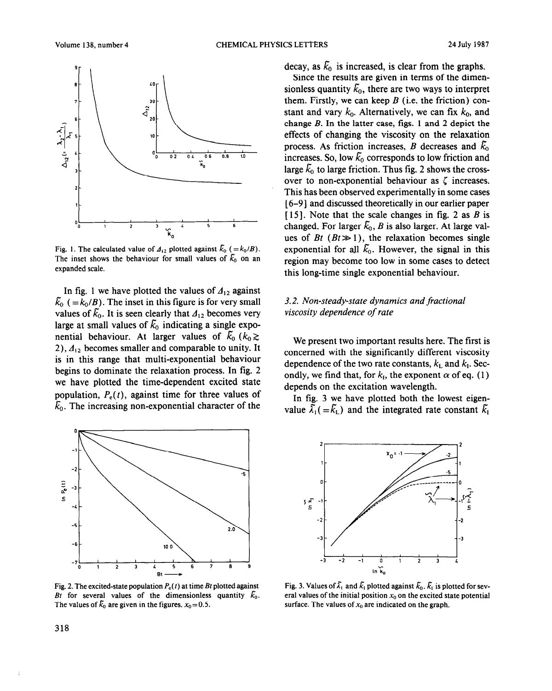

Fig. 1. The calculated value of  $A_{12}$  plotted against  $\bar{k}_0$  (= $k_0/B$ ). The inset shows the behaviour for small values of  $\tilde{k}_0$  on an expanded scale.

In fig. 1 we have plotted the values of  $A_{12}$  against  $\bar{k}_0$  (= $k_0/B$ ). The inset in this figure is for very small values of  $\bar{k}_0$ . It is seen clearly that  $\Delta_{12}$  becomes very large at small values of  $\bar{k}_0$  indicating a single exponential behaviour. At larger values of  $\bar{k}_0$  ( $k_0 \gtrsim$ 2),  $A_{12}$  becomes smaller and comparable to unity. It is in this range that multi-exponential behaviour begins to dominate the relaxation process. In fig. 2 we have plotted the time-dependent excited state population,  $P_e(t)$ , against time for three values of  $\tilde{k}_0$ . The increasing non-exponential character of the



The values of  $\bar{k}_0$  are given in the figures.  $x_0 = 0.5$ .

decay, as  $\bar{k}_0$  is increased, is clear from the graphs.

Since the results are given in terms of the dimensionless quantity  $\tilde{k}_0$ , there are two ways to interpret them. Firstly, we can keep *B* (i.e. the friction) constant and vary  $k_0$ . Alternatively, we can fix  $k_0$ , and change *B.* In the latter case, figs. 1 and 2 depict the effects of changing the viscosity on the relaxation process. As friction increases, *B* decreases and  $\bar{k}_0$ increases. So, low  $\tilde{k}_0$  corresponds to low friction and large  $\bar{k}_0$  to large friction. Thus fig. 2 shows the crossover to non-exponential behaviour as  $\zeta$  increases. This has been observed experimentally in some cases [ 6-91 and discussed theoretically in our earlier paper [ 151. Note that the scale changes in fig. 2 as *B* is changed. For larger  $\tilde{k}_0$ , *B* is also larger. At large values of *Bt*  $(Bt \gg 1)$ , the relaxation becomes single exponential for all  $\tilde{k}_0$ . However, the signal in this region may become too low in some cases to detect this long-time single exponential behaviour.

# 3.2. *Non-steady-state dynamics and fractional viscosity dependence of rate*

We present two important results here. The first is concerned with the significantly different viscosity dependence of the two rate constants,  $k<sub>L</sub>$  and  $k<sub>L</sub>$ . Secondly, we find that, for  $k_i$ , the exponent  $\alpha$  of eq. (1) depends on the excitation wavelength.

In fig. 3 we have plotted both the lowest eigenvalue  $\overline{\tilde{\lambda}_1}$  ( =  $\overline{\tilde{k}_1}$ ) and the integrated rate constant  $\overline{\tilde{k}_1}$ 



Fig. 2. The excited-state population  $P_e(t)$  at time Bt plotted against Fig. 3. Values of  $\tilde{\lambda}_1$  and  $\tilde{k}_1$  plotted against  $\tilde{k}_0$ .  $\tilde{k}_1$  is plotted for sev-<br>Bt for several values of the dimensionless quantity  $\$ eral values of the initial position  $x_0$  on the excited state potential surface. The values of  $x_0$  are indicated on the graph.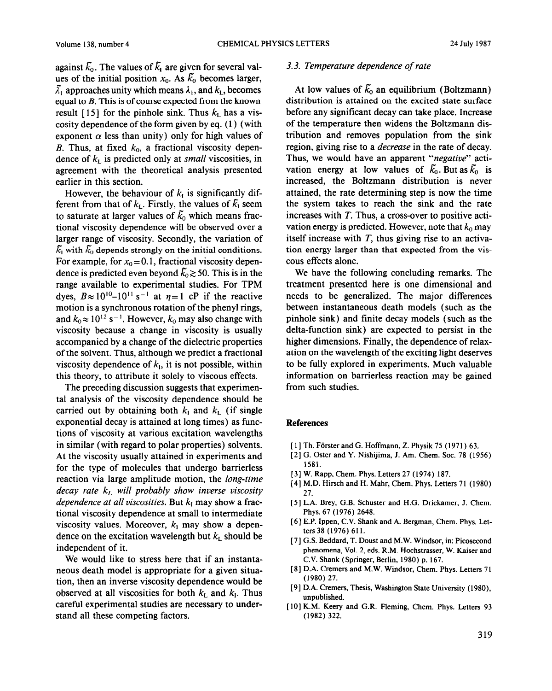against  $\bar{k}_0$ . The values of  $\bar{k}_1$  are given for several values of the initial position  $x_0$ . As  $\overline{k}_0$  becomes larger,  $\tilde{\lambda}_1$  approaches unity which means  $\lambda_1$ , and  $k_L$ , becomes equal to *B.* This is of course expected from the known result [15] for the pinhole sink. Thus  $k<sub>L</sub>$  has a viscosity dependence of the form given by eq. (1) (with exponent  $\alpha$  less than unity) only for high values of *B.* Thus, at fixed  $k_0$ , a fractional viscosity dependence of  $k<sub>L</sub>$  is predicted only at *small* viscosities, in agreement with the theoretical analysis presented earlier in this section.

However, the behaviour of  $k_I$  is significantly different from that of  $k_L$ . Firstly, the values of  $\bar{k}_1$  seem to saturate at larger values of  $\tilde{k}_0$  which means fractional viscosity dependence will be observed over a larger range of viscosity. Secondly, the variation of  $\bar{k}_1$  with  $\bar{k}_0$  depends strongly on the initial conditions. For example, for  $x_0 = 0.1$ , fractional viscosity dependence is predicted even beyond  $\tilde{k}_0 \gtrsim 50$ . This is in the range available to experimental studies. For TPM dyes,  $B \approx 10^{10} - 10^{11}$  s<sup>-1</sup> at  $n=1$  cP if the reactive motion is a synchronous rotation of the phenyl rings, and  $k_0 \approx 10^{12}$  s<sup>-1</sup>. However,  $k_0$  may also change with viscosity because a change in viscosity is usually accompanied by a change of the dielectric properties of the solvent. Thus, although we predict a fractional viscosity dependence of  $k<sub>1</sub>$ , it is not possible, within this theory, to attribute it solely to viscous effects.

The preceding discussion suggests that experimental analysis of the viscosity dependence should be carried out by obtaining both  $k_1$  and  $k_2$  (if single exponential decay is attained at long times) as functions of viscosity at various excitation wavelengths in similar (with regard to polar properties) solvents. At the viscosity usually attained in experiments and for the type of molecules that undergo barrierless reaction via large amplitude motion, the *long-time decay rate k, will probably show inverse viscosity dependence at all viscosities.* But  $k<sub>I</sub>$  may show a fractional viscosity dependence at small to intermediate viscosity values. Moreover,  $k_1$  may show a dependence on the excitation wavelength but  $k<sub>L</sub>$  should be independent of it.

We would like to stress here that if an instantaneous death model is appropriate for a given situation, then an inverse viscosity dependence would be observed at all viscosities for both  $k<sub>L</sub>$  and  $k<sub>L</sub>$ . Thus careful experimental studies are necessary to understand all these competing factors.

## 3.3. *Temperature dependence of rate*

At low values of  $\bar{k}_0$  an equilibrium (Boltzmann) distribution is attained on the excited state surface before any significant decay can take place. Increase of the temperature then widens the Boltzmann distribution and removes population from the sink region, giving rise to a *decrease* in the rate of decay. Thus, we would have an apparent *"negative"* activation energy at low values of  $\tilde{k}_0$ . But as  $\tilde{k}_0$  is increased, the Boltzmann distribution is never attained, the rate determining step is now the time the system takes to reach the sink and the rate increases with *T.* Thus, a cross-over to positive activation energy is predicted. However, note that  $k_0$  may itself increase with  $T$ , thus giving rise to an activation energy larger than that expected from the viscous effects alone.

We have the following concluding remarks. The treatment presented here is one dimensional and needs to be generalized. The major differences between instantaneous death models (such as the pinhole sink) and finite decay models (such as the delta-function sink) are expected to persist in the higher dimensions. Finally, the dependence of relaxation on the wavelength of the exciting light deserves to be fully explored in experiments. Much valuable information on barrierless reaction may be gained from such studies.

## **References**

- [1] Th. Förster and G. Hoffmann, Z. Physik 75 (1971) 63.
- [2] G. Oster and Y. Nishijima, J. Am. Chem. Soc. 78 (1956) 1581.
- [ 31 W. Rapp, Chem. Phys. Letters 27 (1974) 187.
- [4] M.D. Hirsch and H. Mahr, Chem. Phys. Letters 71 (1980) 27.
- [ 51 L.A. Brey, G.B. Schuster and H.G. Drickamer, J. Chem. Phys. 67 (1976) 2648.
- [6] E.P. Ippen, C.V. Shank and A. Bergman, Chem. Phys. Letters 38 (1976) 611.
- [ 71 G.S. Beddard, T. Doust and M.W. Windsor, in: Picosecond phenomena, Vol. 2, eds. R.M. Hochstrasser, W. Kaiser and C.V. Shank (Springer, Berlin, 1980) p. 167.
- [ 81 D.A. Cremers and M.W. Windsor, Chem. Phys. Letters 7 I (1980) 27.
- [ 91 D.A. Cremers, Thesis, Washington State University (1980), unpublished.
- [IO] K.M. Keery and G.R. Fleming, Chem. Phys. Letters 93 (1982) 322.